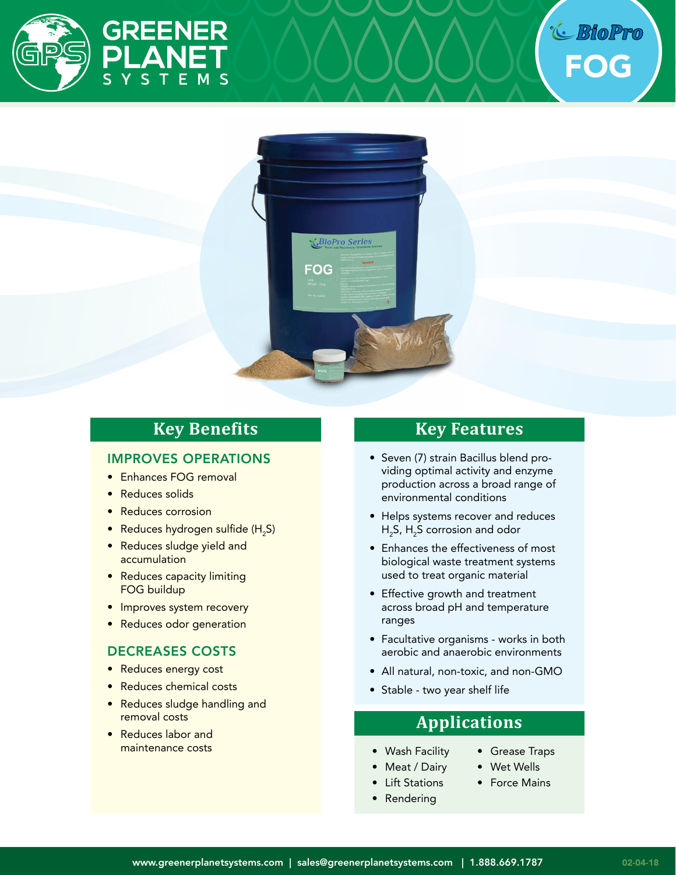



# **Key Benefits**

### IMPROVES OPERATIONS

- Enhances FOG removal
- Reduces solids
- Reduces corrosion
- $\bullet$  Reduces hydrogen sulfide (H<sub>2</sub>S)
- Reduces sludge yield and accumulation
- Reduces capacity limiting FOG buildup
- Improves system recovery
- Reduces odor generation

### DECREASES COSTS

- Reduces energy cost
- Reduces chemical costs
- Reduces sludge handling and removal costs
- Reduces labor and maintenance costs

# **Key Features**

- Seven (7) strain Bacillus blend providing optimal activity and enzyme production across a broad range of environmental conditions
- Helps systems recover and reduces H<sub>2</sub>S, H<sub>2</sub>S corrosion and odor
- Enhances the effectiveness of most biological waste treatment systems used to treat organic material
- Effective growth and treatment across broad pH and temperature ranges
- Facultative organisms works in both aerobic and anaerobic environments
- All natural, non-toxic, and non-GMO
- Stable two year shelf life

# **Applications**

- Wash Facility
- Meat / Dairy
- Lift Stations
- Rendering
- Grease Traps
- Wet Wells
- Force Mains